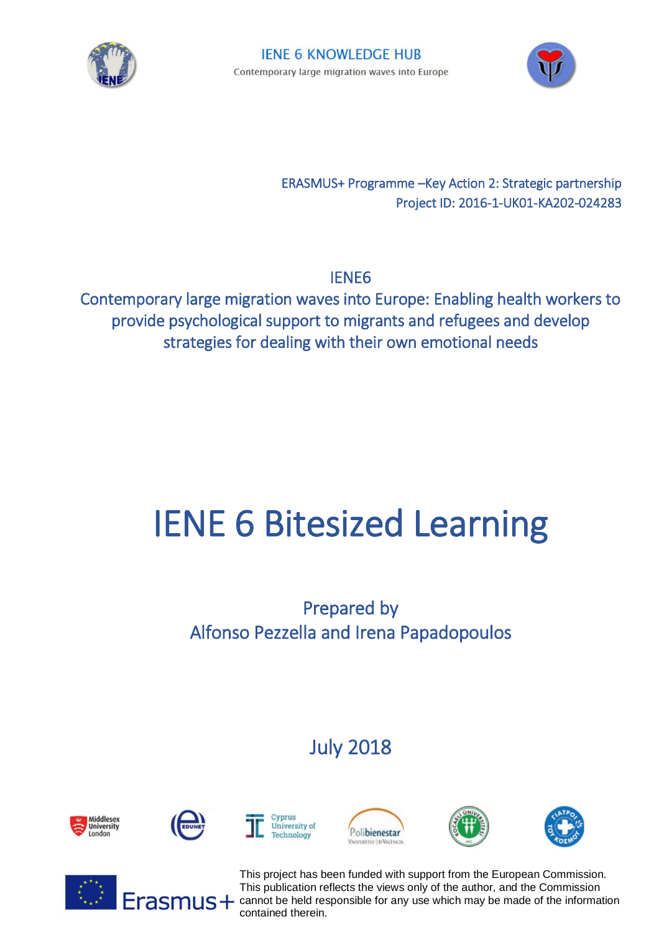



ERASMUS+ Programme –Key Action 2: Strategic partnership Project ID: 2016-1-UK01-KA202-024283

IENE6

Contemporary large migration waves into Europe: Enabling health workers to provide psychological support to migrants and refugees and develop strategies for dealing with their own emotional needs

## IENE 6 Bitesized Learning

Prepared by Alfonso Pezzella and Irena Papadopoulos

July 2018















This project has been funded with support from the European Commission. This publication reflects the views only of the author, and the Commission  $\overline{\text{rasm}}$  cannot be held responsible for any use which may be made of the information contained therein.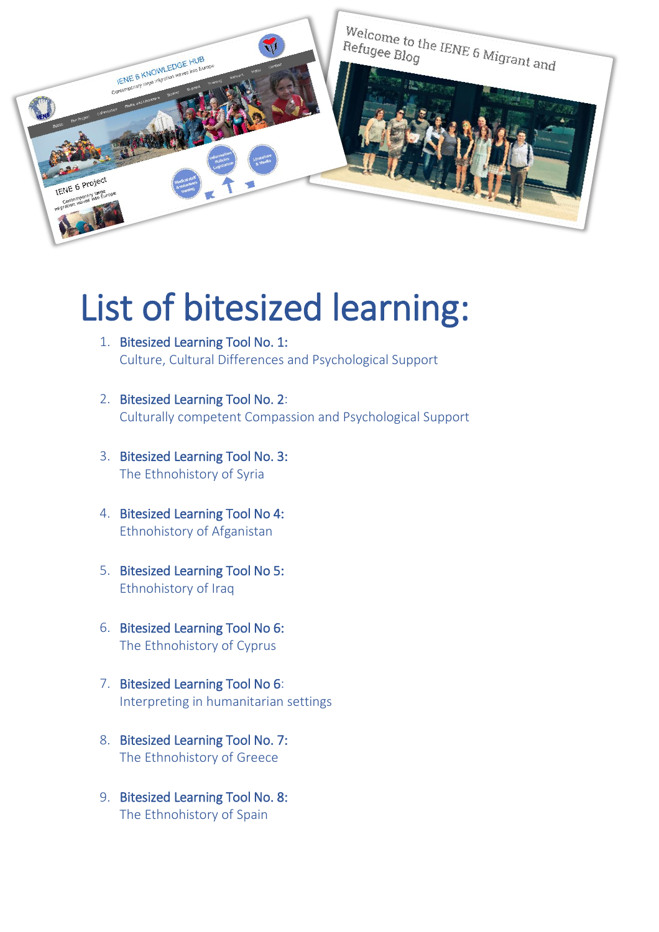

## List of bitesized learning:

- 1. Bitesized Learning Tool No. 1: [Culture, Cultural Differences and Psychological Support](http://www.ienerefugeehub.eu/uploads/network/other/29-bitesized-learning-no1-culture-cultural-differences-and--psychological-support.pdf)
- 2. Bitesized Learning Tool No. 2[:](http://www.ienerefugeehub.eu/uploads/network/other/26-bitesize-learning-no2-culturally-competent-compassion-and--psysupport-061217.pdf) [Culturally competent Compassion and Psychological Support](http://www.ienerefugeehub.eu/uploads/network/other/26-bitesize-learning-no2-culturally-competent-compassion-and--psysupport-061217.pdf)
- 3. Bitesized Learning Tool No. 3: [The Ethnohistory of Syria](http://www.ienerefugeehub.eu/uploads/network/other/27-bitesize-learning-no3-ethnohistory-of-syria.pdf)
- 4. Bitesized Learning Tool No 4: [Ethnohistory of Afganistan](http://www.ienerefugeehub.eu/uploads/network/other/30-bitesized-learning-no-4-ethnohistory-of-afganistan.pdf)
- 5. Bitesized Learning Tool No 5: [Ethnohistory of Iraq](http://www.ienerefugeehub.eu/uploads/network/other/31-bitesized-learning-no-5-ethnohistory-of-iraq.pdf)
- 6. Bitesized Learning Tool No 6: [The Ethnohistory of Cyprus](http://www.ienerefugeehub.eu/uploads/network/other/82-the-ethnohistory-of-cyprus-f.docx)
- 7. Bitesized Learning Tool No 6[:](http://www.ienerefugeehub.eu/uploads/network/other/36-nr.-8--interpreting-in-humanitarian-settings---io8.pdf) [Interpreting in humanitarian settings](http://www.ienerefugeehub.eu/uploads/network/other/36-nr.-8--interpreting-in-humanitarian-settings---io8.pdf)
- 8. Bitesized Learning Tool No. 7: [The Ethnohistory of Greece](http://www.ienerefugeehub.eu/uploads/network/other/90-greece---ethnohistory.pdf)
- 9. Bitesized Learning Tool No. 8: [The Ethnohistory of Spain](http://www.ienerefugeehub.eu/uploads/network/other/112-ethnohistory_spain_.pdf)